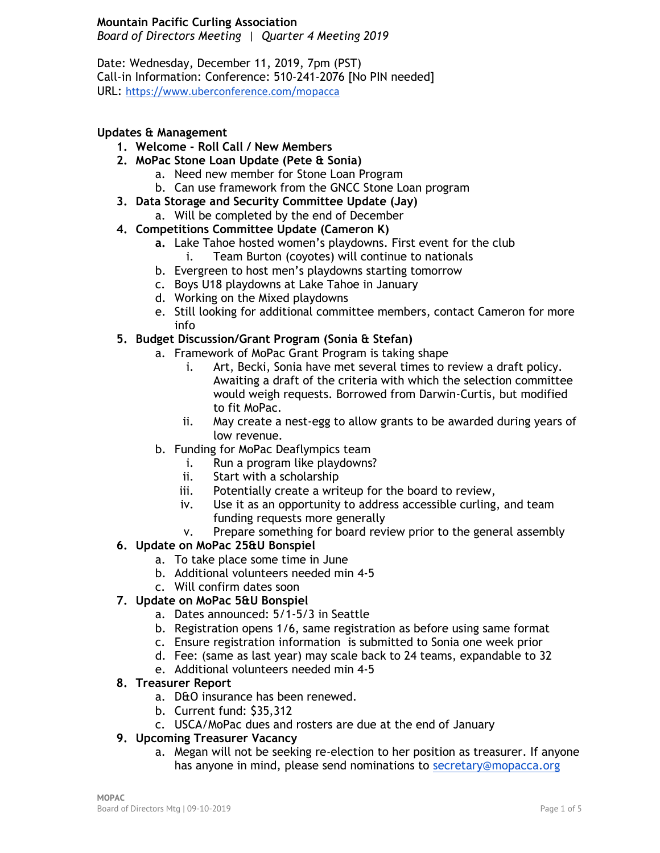#### **Mountain Pacific Curling Association**

*Board of Directors Meeting | Quarter 4 Meeting 2019*

Date: Wednesday, December 11, 2019, 7pm (PST) Call-in Information: Conference: 510-241-2076 [No PIN needed] URL: <https://www.uberconference.com/mopacca>

#### **Updates & Management**

- **1. Welcome - Roll Call / New Members**
- **2. MoPac Stone Loan Update (Pete & Sonia)**
	- a. Need new member for Stone Loan Program
	- b. Can use framework from the GNCC Stone Loan program
- **3. Data Storage and Security Committee Update (Jay)**
	- a. Will be completed by the end of December
- **4. Competitions Committee Update (Cameron K)**
	- **a.** Lake Tahoe hosted women's playdowns. First event for the club
		- i. Team Burton (coyotes) will continue to nationals
		- b. Evergreen to host men's playdowns starting tomorrow
		- c. Boys U18 playdowns at Lake Tahoe in January
		- d. Working on the Mixed playdowns
		- e. Still looking for additional committee members, contact Cameron for more info

#### **5. Budget Discussion/Grant Program (Sonia & Stefan)**

- a. Framework of MoPac Grant Program is taking shape
	- i. Art, Becki, Sonia have met several times to review a draft policy. Awaiting a draft of the criteria with which the selection committee would weigh requests. Borrowed from Darwin-Curtis, but modified to fit MoPac.
	- ii. May create a nest-egg to allow grants to be awarded during years of low revenue.
- b. Funding for MoPac Deaflympics team
	- i. Run a program like playdowns?
	- ii. Start with a scholarship
	- iii. Potentially create a writeup for the board to review,
	- iv. Use it as an opportunity to address accessible curling, and team funding requests more generally
	- v. Prepare something for board review prior to the general assembly

#### **6. Update on MoPac 25&U Bonspiel**

- a. To take place some time in June
- b. Additional volunteers needed min 4-5
- c. Will confirm dates soon

## **7. Update on MoPac 5&U Bonspiel**

- a. Dates announced: 5/1-5/3 in Seattle
- b. Registration opens 1/6, same registration as before using same format
- c. Ensure registration information is submitted to Sonia one week prior
- d. Fee: (same as last year) may scale back to 24 teams, expandable to 32
- e. Additional volunteers needed min 4-5

#### **8. Treasurer Report**

- a. D&O insurance has been renewed.
- b. Current fund: \$35,312
- c. USCA/MoPac dues and rosters are due at the end of January

#### **9. Upcoming Treasurer Vacancy**

a. Megan will not be seeking re-election to her position as treasurer. If anyone has anyone in mind, please send nominations to [secretary@mopacca.org](mailto:secretary@mopacca.org)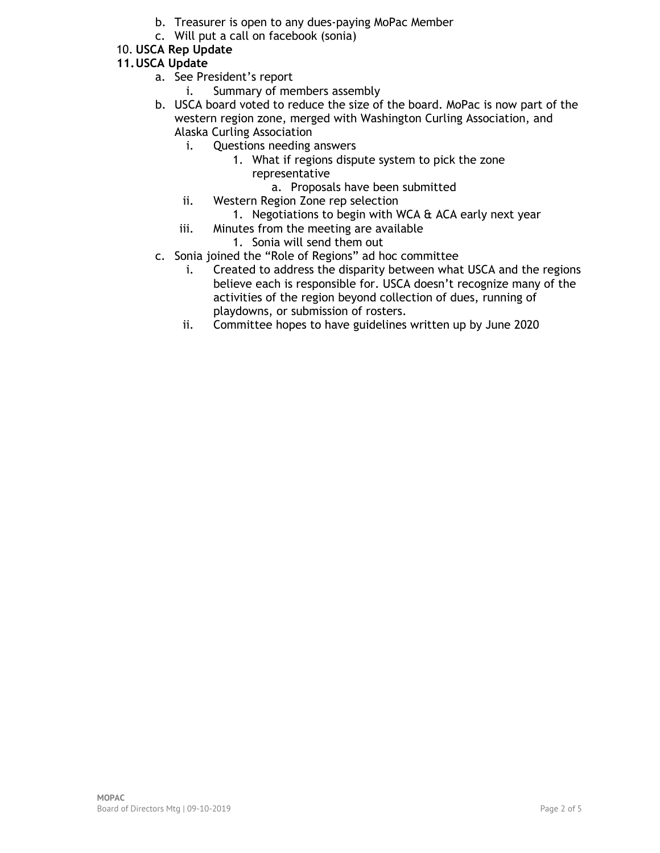- b. Treasurer is open to any dues-paying MoPac Member
- c. Will put a call on facebook (sonia)

# 10. **USCA Rep Update**

## **11.USCA Update**

- a. See President's report
	- i. Summary of members assembly
- b. USCA board voted to reduce the size of the board. MoPac is now part of the western region zone, merged with Washington Curling Association, and Alaska Curling Association
	- i. Questions needing answers
		- 1. What if regions dispute system to pick the zone representative
			- a. Proposals have been submitted
	- ii. Western Region Zone rep selection
		- 1. Negotiations to begin with WCA & ACA early next year
	- iii. Minutes from the meeting are available
		- 1. Sonia will send them out
- c. Sonia joined the "Role of Regions" ad hoc committee
	- i. Created to address the disparity between what USCA and the regions believe each is responsible for. USCA doesn't recognize many of the activities of the region beyond collection of dues, running of playdowns, or submission of rosters.
	- ii. Committee hopes to have guidelines written up by June 2020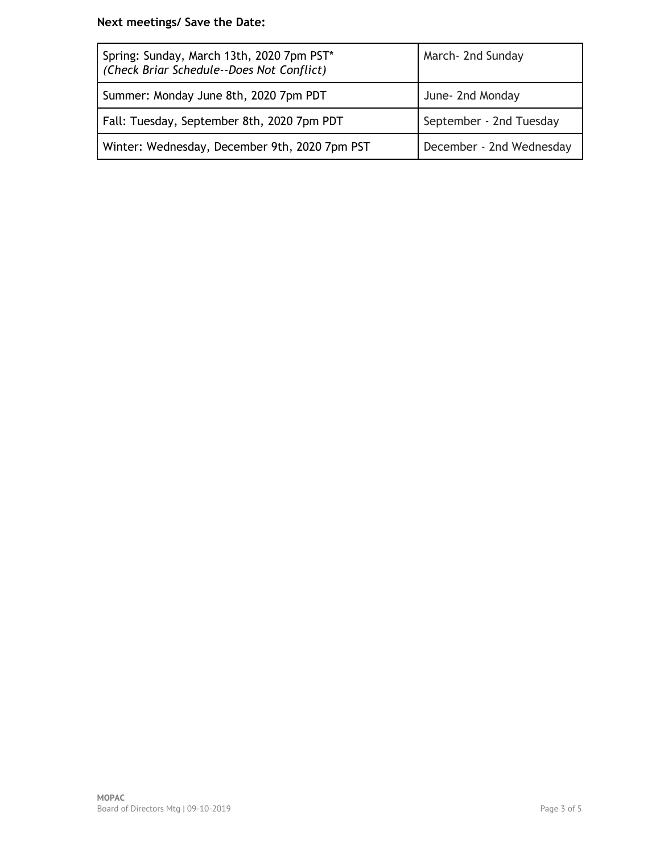# **Next meetings/ Save the Date:**

| Spring: Sunday, March 13th, 2020 7pm PST*<br>(Check Briar Schedule--Does Not Conflict) | March- 2nd Sunday        |
|----------------------------------------------------------------------------------------|--------------------------|
| Summer: Monday June 8th, 2020 7pm PDT                                                  | June- 2nd Monday         |
| Fall: Tuesday, September 8th, 2020 7pm PDT                                             | September - 2nd Tuesday  |
| Winter: Wednesday, December 9th, 2020 7pm PST                                          | December - 2nd Wednesday |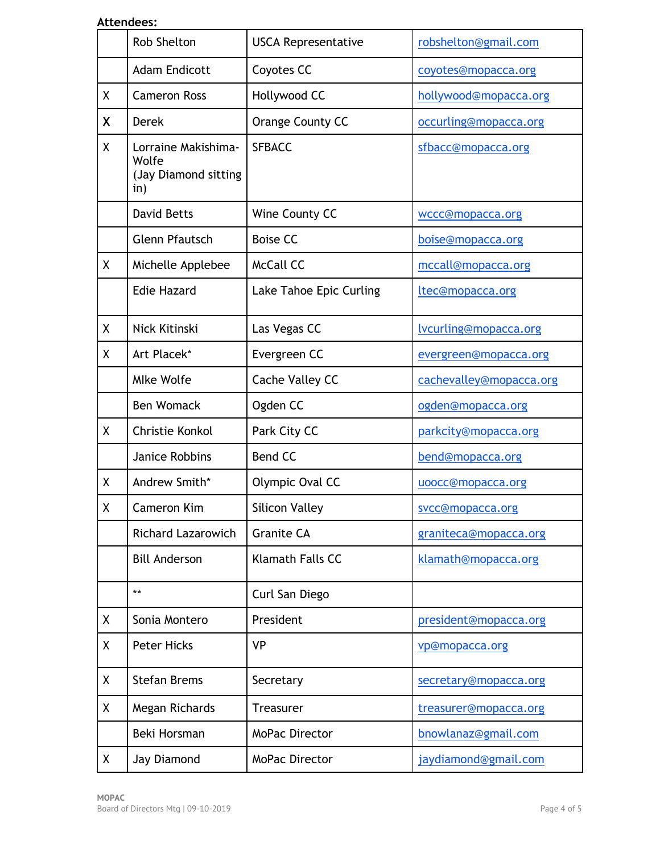## **Attendees:**

|   | <b>Rob Shelton</b>                                          | <b>USCA Representative</b> | robshelton@gmail.com    |
|---|-------------------------------------------------------------|----------------------------|-------------------------|
|   | <b>Adam Endicott</b>                                        | Coyotes CC                 | coyotes@mopacca.org     |
| Χ | <b>Cameron Ross</b>                                         | Hollywood CC               | hollywood@mopacca.org   |
| X | <b>Derek</b>                                                | Orange County CC           | occurling@mopacca.org   |
| χ | Lorraine Makishima-<br>Wolfe<br>(Jay Diamond sitting<br>in) | <b>SFBACC</b>              | sfbacc@mopacca.org      |
|   | <b>David Betts</b>                                          | Wine County CC             | wccc@mopacca.org        |
|   | <b>Glenn Pfautsch</b>                                       | <b>Boise CC</b>            | boise@mopacca.org       |
| X | Michelle Applebee                                           | <b>McCall CC</b>           | mccall@mopacca.org      |
|   | <b>Edie Hazard</b>                                          | Lake Tahoe Epic Curling    | ltec@mopacca.org        |
| χ | Nick Kitinski                                               | Las Vegas CC               | lvcurling@mopacca.org   |
| χ | Art Placek*                                                 | Evergreen CC               | evergreen@mopacca.org   |
|   | <b>Mlke Wolfe</b>                                           | Cache Valley CC            | cachevalley@mopacca.org |
|   | <b>Ben Womack</b>                                           | Ogden CC                   | ogden@mopacca.org       |
| X | Christie Konkol                                             | Park City CC               | parkcity@mopacca.org    |
|   | Janice Robbins                                              | <b>Bend CC</b>             | bend@mopacca.org        |
| χ | Andrew Smith*                                               | Olympic Oval CC            | uoocc@mopacca.org       |
| Χ | Cameron Kim                                                 | <b>Silicon Valley</b>      | svcc@mopacca.org        |
|   | <b>Richard Lazarowich</b>                                   | <b>Granite CA</b>          | graniteca@mopacca.org   |
|   | <b>Bill Anderson</b>                                        | Klamath Falls CC           | klamath@mopacca.org     |
|   | $***$                                                       | Curl San Diego             |                         |
| χ | Sonia Montero                                               | President                  | president@mopacca.org   |
| Χ | <b>Peter Hicks</b>                                          | <b>VP</b>                  | vp@mopacca.org          |
| X | <b>Stefan Brems</b>                                         | Secretary                  | secretary@mopacca.org   |
| Χ | Megan Richards                                              | <b>Treasurer</b>           | treasurer@mopacca.org   |
|   | Beki Horsman                                                | <b>MoPac Director</b>      | bnowlanaz@gmail.com     |
| X | Jay Diamond                                                 | MoPac Director             | jaydiamond@gmail.com    |